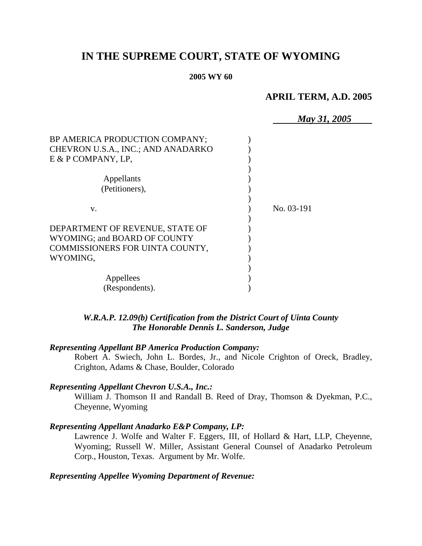# **IN THE SUPREME COURT, STATE OF WYOMING**

#### **2005 WY 60**

# **APRIL TERM, A.D. 2005**

|                                    | May 31, 2005 |
|------------------------------------|--------------|
| BP AMERICA PRODUCTION COMPANY;     |              |
| CHEVRON U.S.A., INC.; AND ANADARKO |              |
| $E & P$ COMPANY, LP,               |              |
|                                    |              |
| Appellants                         |              |
| (Petitioners),                     |              |
|                                    |              |
| V.                                 | No. 03-191   |
|                                    |              |
| DEPARTMENT OF REVENUE, STATE OF    |              |
| WYOMING; and BOARD OF COUNTY       |              |
| COMMISSIONERS FOR UINTA COUNTY,    |              |
| WYOMING,                           |              |
|                                    |              |
| Appellees                          |              |
| (Respondents).                     |              |

# *W.R.A.P. 12.09(b) Certification from the District Court of Uinta County The Honorable Dennis L. Sanderson, Judge*

## *Representing Appellant BP America Production Company:*

Robert A. Swiech, John L. Bordes, Jr., and Nicole Crighton of Oreck, Bradley, Crighton, Adams & Chase, Boulder, Colorado

## *Representing Appellant Chevron U.S.A., Inc.:*

William J. Thomson II and Randall B. Reed of Dray, Thomson & Dyekman, P.C., Cheyenne, Wyoming

#### *Representing Appellant Anadarko E&P Company, LP:*

Lawrence J. Wolfe and Walter F. Eggers, III, of Hollard & Hart, LLP, Cheyenne, Wyoming; Russell W. Miller, Assistant General Counsel of Anadarko Petroleum Corp., Houston, Texas. Argument by Mr. Wolfe.

# *Representing Appellee Wyoming Department of Revenue:*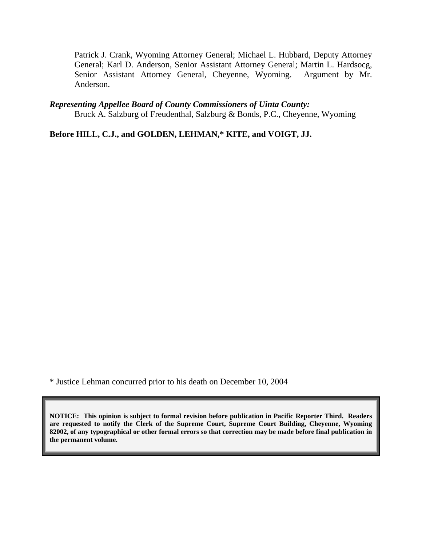Patrick J. Crank, Wyoming Attorney General; Michael L. Hubbard, Deputy Attorney General; Karl D. Anderson, Senior Assistant Attorney General; Martin L. Hardsocg, Senior Assistant Attorney General, Cheyenne, Wyoming. Argument by Mr. Anderson.

#### *Representing Appellee Board of County Commissioners of Uinta County:*

Bruck A. Salzburg of Freudenthal, Salzburg & Bonds, P.C., Cheyenne, Wyoming

**Before HILL, C.J., and GOLDEN, LEHMAN,\* KITE, and VOIGT, JJ.** 

\* Justice Lehman concurred prior to his death on December 10, 2004

**NOTICE: This opinion is subject to formal revision before publication in Pacific Reporter Third. Readers are requested to notify the Clerk of the Supreme Court, Supreme Court Building, Cheyenne, Wyoming 82002, of any typographical or other formal errors so that correction may be made before final publication in the permanent volume.**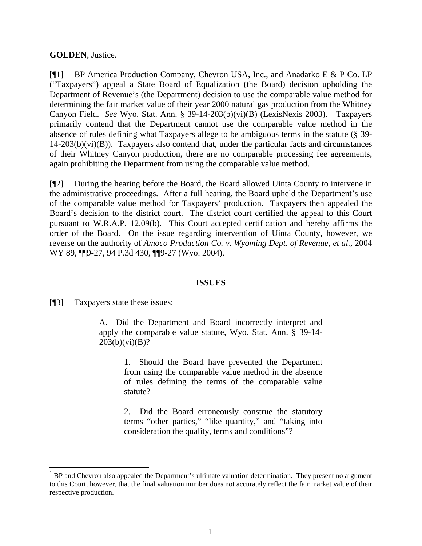## **GOLDEN**, Justice.

[¶1] BP America Production Company, Chevron USA, Inc., and Anadarko E & P Co. LP ("Taxpayers") appeal a State Board of Equalization (the Board) decision upholding the Department of Revenue's (the Department) decision to use the comparable value method for determining the fair market value of their year 2000 natural gas production from the Whitney Canyon Field. See Wyo. Stat. Ann. § 39-[1](#page-2-0)4-203(b)(vi)(B) (LexisNexis 2003).<sup>1</sup> Taxpayers primarily contend that the Department cannot use the comparable value method in the absence of rules defining what Taxpayers allege to be ambiguous terms in the statute (§ 39-  $14-203(b)(vi)(B)$ ). Taxpayers also contend that, under the particular facts and circumstances of their Whitney Canyon production, there are no comparable processing fee agreements, again prohibiting the Department from using the comparable value method.

[¶2] During the hearing before the Board, the Board allowed Uinta County to intervene in the administrative proceedings. After a full hearing, the Board upheld the Department's use of the comparable value method for Taxpayers' production. Taxpayers then appealed the Board's decision to the district court. The district court certified the appeal to this Court pursuant to W.R.A.P. 12.09(b). This Court accepted certification and hereby affirms the order of the Board. On the issue regarding intervention of Uinta County, however, we reverse on the authority of *Amoco Production Co. v. Wyoming Dept. of Revenue, et al.,* 2004 WY 89, ¶¶9-27, 94 P.3d 430, ¶¶9-27 (Wyo. 2004).

# **ISSUES**

[¶3] Taxpayers state these issues:

 $\overline{a}$ 

A. Did the Department and Board incorrectly interpret and apply the comparable value statute, Wyo. Stat. Ann. § 39-14-  $203(b)(vi)(B)?$ 

> 1. Should the Board have prevented the Department from using the comparable value method in the absence of rules defining the terms of the comparable value statute?

> 2. Did the Board erroneously construe the statutory terms "other parties," "like quantity," and "taking into consideration the quality, terms and conditions"?

<span id="page-2-0"></span> $<sup>1</sup>$  BP and Chevron also appealed the Department's ultimate valuation determination. They present no argument</sup> to this Court, however, that the final valuation number does not accurately reflect the fair market value of their respective production.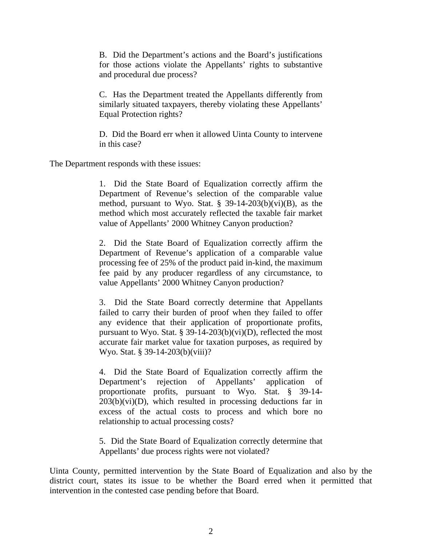B. Did the Department's actions and the Board's justifications for those actions violate the Appellants' rights to substantive and procedural due process?

C. Has the Department treated the Appellants differently from similarly situated taxpayers, thereby violating these Appellants' Equal Protection rights?

D. Did the Board err when it allowed Uinta County to intervene in this case?

The Department responds with these issues:

1. Did the State Board of Equalization correctly affirm the Department of Revenue's selection of the comparable value method, pursuant to Wyo. Stat. § 39-14-203(b)(vi)(B), as the method which most accurately reflected the taxable fair market value of Appellants' 2000 Whitney Canyon production?

2. Did the State Board of Equalization correctly affirm the Department of Revenue's application of a comparable value processing fee of 25% of the product paid in-kind, the maximum fee paid by any producer regardless of any circumstance, to value Appellants' 2000 Whitney Canyon production?

3. Did the State Board correctly determine that Appellants failed to carry their burden of proof when they failed to offer any evidence that their application of proportionate profits, pursuant to Wyo. Stat. § 39-14-203(b)(vi)(D), reflected the most accurate fair market value for taxation purposes, as required by Wyo. Stat. § 39-14-203(b)(viii)?

4. Did the State Board of Equalization correctly affirm the Department's rejection of Appellants' application of proportionate profits, pursuant to Wyo. Stat. § 39-14-  $203(b)(vi)(D)$ , which resulted in processing deductions far in excess of the actual costs to process and which bore no relationship to actual processing costs?

5. Did the State Board of Equalization correctly determine that Appellants' due process rights were not violated?

Uinta County, permitted intervention by the State Board of Equalization and also by the district court, states its issue to be whether the Board erred when it permitted that intervention in the contested case pending before that Board.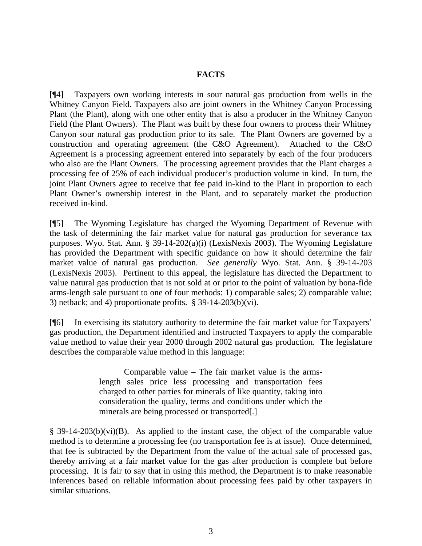# **FACTS**

[¶4] Taxpayers own working interests in sour natural gas production from wells in the Whitney Canyon Field. Taxpayers also are joint owners in the Whitney Canyon Processing Plant (the Plant), along with one other entity that is also a producer in the Whitney Canyon Field (the Plant Owners). The Plant was built by these four owners to process their Whitney Canyon sour natural gas production prior to its sale. The Plant Owners are governed by a construction and operating agreement (the C&O Agreement). Attached to the C&O Agreement is a processing agreement entered into separately by each of the four producers who also are the Plant Owners. The processing agreement provides that the Plant charges a processing fee of 25% of each individual producer's production volume in kind. In turn, the joint Plant Owners agree to receive that fee paid in-kind to the Plant in proportion to each Plant Owner's ownership interest in the Plant, and to separately market the production received in-kind.

[¶5] The Wyoming Legislature has charged the Wyoming Department of Revenue with the task of determining the fair market value for natural gas production for severance tax purposes. Wyo. Stat. Ann. § 39-14-202(a)(i) (LexisNexis 2003). The Wyoming Legislature has provided the Department with specific guidance on how it should determine the fair market value of natural gas production. *See generally* Wyo. Stat. Ann. § 39-14-203 (LexisNexis 2003). Pertinent to this appeal, the legislature has directed the Department to value natural gas production that is not sold at or prior to the point of valuation by bona-fide arms-length sale pursuant to one of four methods: 1) comparable sales; 2) comparable value; 3) netback; and 4) proportionate profits.  $\S$  39-14-203(b)(vi).

[¶6] In exercising its statutory authority to determine the fair market value for Taxpayers' gas production, the Department identified and instructed Taxpayers to apply the comparable value method to value their year 2000 through 2002 natural gas production. The legislature describes the comparable value method in this language:

> Comparable value – The fair market value is the armslength sales price less processing and transportation fees charged to other parties for minerals of like quantity, taking into consideration the quality, terms and conditions under which the minerals are being processed or transported[.]

§ 39-14-203(b)(vi)(B). As applied to the instant case, the object of the comparable value method is to determine a processing fee (no transportation fee is at issue). Once determined, that fee is subtracted by the Department from the value of the actual sale of processed gas, thereby arriving at a fair market value for the gas after production is complete but before processing. It is fair to say that in using this method, the Department is to make reasonable inferences based on reliable information about processing fees paid by other taxpayers in similar situations.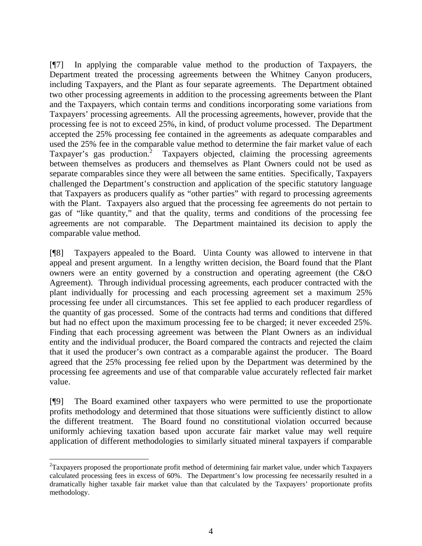[¶7] In applying the comparable value method to the production of Taxpayers, the Department treated the processing agreements between the Whitney Canyon producers, including Taxpayers, and the Plant as four separate agreements. The Department obtained two other processing agreements in addition to the processing agreements between the Plant and the Taxpayers, which contain terms and conditions incorporating some variations from Taxpayers' processing agreements. All the processing agreements, however, provide that the processing fee is not to exceed 25%, in kind, of product volume processed. The Department accepted the 25% processing fee contained in the agreements as adequate comparables and used the 25% fee in the comparable value method to determine the fair market value of each Taxpayer's gas production.<sup>[2](#page-5-0)</sup> Taxpayers objected, claiming the processing agreements between themselves as producers and themselves as Plant Owners could not be used as separate comparables since they were all between the same entities. Specifically, Taxpayers challenged the Department's construction and application of the specific statutory language that Taxpayers as producers qualify as "other parties" with regard to processing agreements with the Plant. Taxpayers also argued that the processing fee agreements do not pertain to gas of "like quantity," and that the quality, terms and conditions of the processing fee agreements are not comparable. The Department maintained its decision to apply the comparable value method.

[¶8] Taxpayers appealed to the Board. Uinta County was allowed to intervene in that appeal and present argument. In a lengthy written decision, the Board found that the Plant owners were an entity governed by a construction and operating agreement (the C&O Agreement). Through individual processing agreements, each producer contracted with the plant individually for processing and each processing agreement set a maximum 25% processing fee under all circumstances. This set fee applied to each producer regardless of the quantity of gas processed. Some of the contracts had terms and conditions that differed but had no effect upon the maximum processing fee to be charged; it never exceeded 25%. Finding that each processing agreement was between the Plant Owners as an individual entity and the individual producer, the Board compared the contracts and rejected the claim that it used the producer's own contract as a comparable against the producer. The Board agreed that the 25% processing fee relied upon by the Department was determined by the processing fee agreements and use of that comparable value accurately reflected fair market value.

[¶9] The Board examined other taxpayers who were permitted to use the proportionate profits methodology and determined that those situations were sufficiently distinct to allow the different treatment. The Board found no constitutional violation occurred because uniformly achieving taxation based upon accurate fair market value may well require application of different methodologies to similarly situated mineral taxpayers if comparable

 $\overline{a}$ 

<span id="page-5-0"></span> $2$ Taxpayers proposed the proportionate profit method of determining fair market value, under which Taxpayers calculated processing fees in excess of 60%. The Department's low processing fee necessarily resulted in a dramatically higher taxable fair market value than that calculated by the Taxpayers' proportionate profits methodology.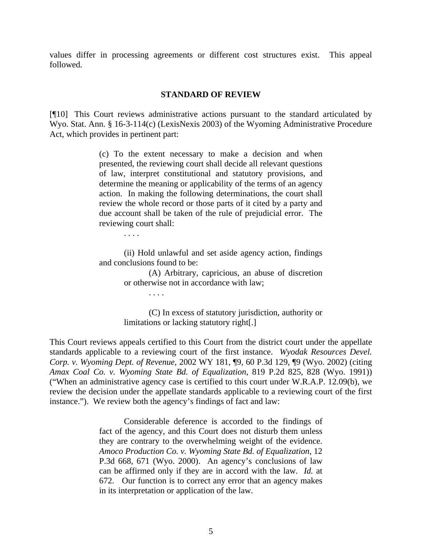values differ in processing agreements or different cost structures exist. This appeal followed.

#### **STANDARD OF REVIEW**

[¶10] This Court reviews administrative actions pursuant to the standard articulated by Wyo. Stat. Ann. § 16-3-114(c) (LexisNexis 2003) of the Wyoming Administrative Procedure Act, which provides in pertinent part:

> (c) To the extent necessary to make a decision and when presented, the reviewing court shall decide all relevant questions of law, interpret constitutional and statutory provisions, and determine the meaning or applicability of the terms of an agency action. In making the following determinations, the court shall review the whole record or those parts of it cited by a party and due account shall be taken of the rule of prejudicial error. The reviewing court shall:

> > . . . .

. . . .

(ii) Hold unlawful and set aside agency action, findings and conclusions found to be:

> (A) Arbitrary, capricious, an abuse of discretion or otherwise not in accordance with law;

> (C) In excess of statutory jurisdiction, authority or limitations or lacking statutory right[.]

This Court reviews appeals certified to this Court from the district court under the appellate standards applicable to a reviewing court of the first instance. *Wyodak Resources Devel. Corp. v. Wyoming Dept. of Revenue*, 2002 WY 181, ¶9, 60 P.3d 129, ¶9 (Wyo. 2002) (citing *Amax Coal Co. v. Wyoming State Bd. of Equalization*, 819 P.2d 825, 828 (Wyo. 1991)) ("When an administrative agency case is certified to this court under W.R.A.P. 12.09(b), we review the decision under the appellate standards applicable to a reviewing court of the first instance."). We review both the agency's findings of fact and law:

> Considerable deference is accorded to the findings of fact of the agency, and this Court does not disturb them unless they are contrary to the overwhelming weight of the evidence. *Amoco Production Co. v. Wyoming State Bd. of Equalization*, 12 P.3d 668, 671 (Wyo. 2000). An agency's conclusions of law can be affirmed only if they are in accord with the law. *Id.* at 672. Our function is to correct any error that an agency makes in its interpretation or application of the law.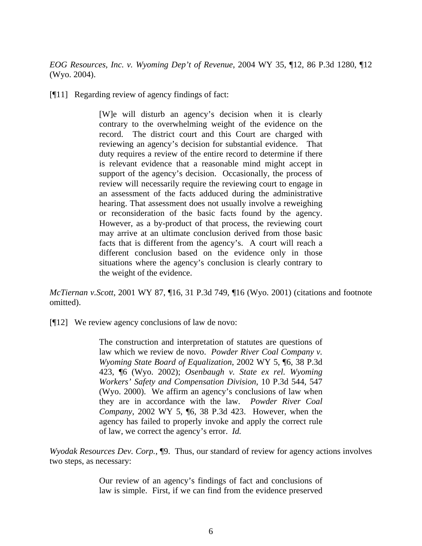*EOG Resources, Inc. v. Wyoming Dep't of Revenue*, 2004 WY 35, ¶12, 86 P.3d 1280, ¶12 (Wyo. 2004).

[¶11] Regarding review of agency findings of fact:

[W]e will disturb an agency's decision when it is clearly contrary to the overwhelming weight of the evidence on the record. The district court and this Court are charged with reviewing an agency's decision for substantial evidence. That duty requires a review of the entire record to determine if there is relevant evidence that a reasonable mind might accept in support of the agency's decision. Occasionally, the process of review will necessarily require the reviewing court to engage in an assessment of the facts adduced during the administrative hearing. That assessment does not usually involve a reweighing or reconsideration of the basic facts found by the agency. However, as a by-product of that process, the reviewing court may arrive at an ultimate conclusion derived from those basic facts that is different from the agency's. A court will reach a different conclusion based on the evidence only in those situations where the agency's conclusion is clearly contrary to the weight of the evidence.

*McTiernan v.Scott*, 2001 WY 87, ¶16, 31 P.3d 749, ¶16 (Wyo. 2001) (citations and footnote omitted).

[¶12] We review agency conclusions of law de novo:

The construction and interpretation of statutes are questions of law which we review de novo. *Powder River Coal Company v. Wyoming State Board of Equalization*, 2002 WY 5, ¶6, 38 P.3d 423, ¶6 (Wyo. 2002); *Osenbaugh v. State ex rel. Wyoming Workers' Safety and Compensation Division*, 10 P.3d 544, 547 (Wyo. 2000). We affirm an agency's conclusions of law when they are in accordance with the law. *Powder River Coal Company*, 2002 WY 5, ¶6, 38 P.3d 423. However, when the agency has failed to properly invoke and apply the correct rule of law, we correct the agency's error. *Id.* 

*Wyodak Resources Dev. Corp.*, ¶9. Thus, our standard of review for agency actions involves two steps, as necessary:

> Our review of an agency's findings of fact and conclusions of law is simple. First, if we can find from the evidence preserved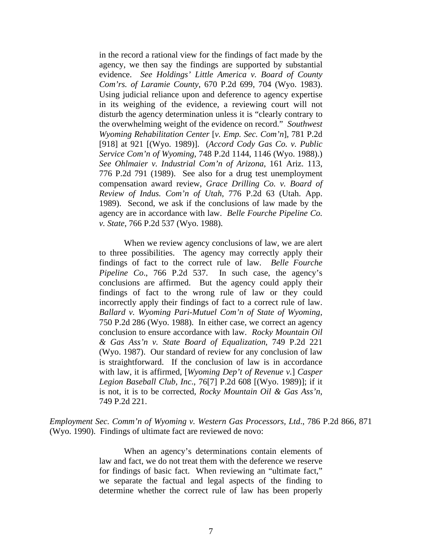in the record a rational view for the findings of fact made by the agency, we then say the findings are supported by substantial evidence. *See Holdings' Little America v. Board of County Com'rs. of Laramie County*, 670 P.2d 699, 704 (Wyo. 1983). Using judicial reliance upon and deference to agency expertise in its weighing of the evidence, a reviewing court will not disturb the agency determination unless it is "clearly contrary to the overwhelming weight of the evidence on record." *Southwest Wyoming Rehabilitation Center* [*v. Emp. Sec. Com'n*], 781 P.2d [918] at 921 [(Wyo. 1989)]. (*Accord Cody Gas Co. v. Public Service Com'n of Wyoming*, 748 P.2d 1144, 1146 (Wyo. 1988).) *See Ohlmaier v. Industrial Com'n of Arizona*, 161 Ariz. 113, 776 P.2d 791 (1989). See also for a drug test unemployment compensation award review, *Grace Drilling Co. v. Board of Review of Indus. Com'n of Utah*, 776 P.2d 63 (Utah. App. 1989). Second, we ask if the conclusions of law made by the agency are in accordance with law. *Belle Fourche Pipeline Co. v. State*, 766 P.2d 537 (Wyo. 1988).

When we review agency conclusions of law, we are alert to three possibilities. The agency may correctly apply their findings of fact to the correct rule of law. *Belle Fourche Pipeline Co*., 766 P.2d 537. In such case, the agency's conclusions are affirmed. But the agency could apply their findings of fact to the wrong rule of law or they could incorrectly apply their findings of fact to a correct rule of law. *Ballard v. Wyoming Pari-Mutuel Com'n of State of Wyoming*, 750 P.2d 286 (Wyo. 1988). In either case, we correct an agency conclusion to ensure accordance with law. *Rocky Mountain Oil & Gas Ass'n v. State Board of Equalization*, 749 P.2d 221 (Wyo. 1987). Our standard of review for any conclusion of law is straightforward. If the conclusion of law is in accordance with law, it is affirmed, [*Wyoming Dep't of Revenue v.*] *Casper Legion Baseball Club, Inc*., 76[7] P.2d 608 [(Wyo. 1989)]; if it is not, it is to be corrected, *Rocky Mountain Oil & Gas Ass'n*, 749 P.2d 221.

*Employment Sec. Comm'n of Wyoming v. Western Gas Processors, Ltd*., 786 P.2d 866, 871 (Wyo. 1990). Findings of ultimate fact are reviewed de novo:

> When an agency's determinations contain elements of law and fact, we do not treat them with the deference we reserve for findings of basic fact. When reviewing an "ultimate fact," we separate the factual and legal aspects of the finding to determine whether the correct rule of law has been properly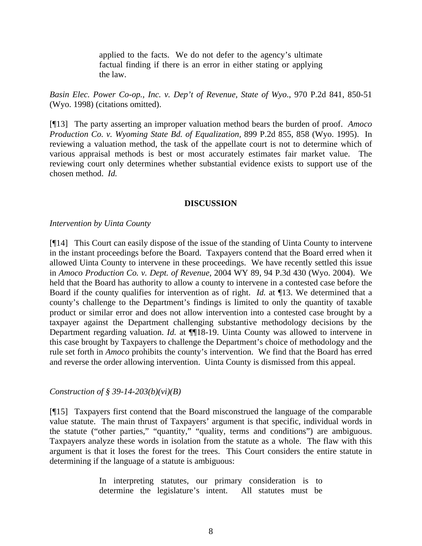applied to the facts. We do not defer to the agency's ultimate factual finding if there is an error in either stating or applying the law.

*Basin Elec. Power Co-op., Inc. v. Dep't of Revenue, State of Wyo*., 970 P.2d 841, 850-51 (Wyo. 1998) (citations omitted).

[¶13] The party asserting an improper valuation method bears the burden of proof. *Amoco Production Co. v. Wyoming State Bd. of Equalization,* 899 P.2d 855, 858 (Wyo. 1995). In reviewing a valuation method, the task of the appellate court is not to determine which of various appraisal methods is best or most accurately estimates fair market value. The reviewing court only determines whether substantial evidence exists to support use of the chosen method. *Id.*

## **DISCUSSION**

*Intervention by Uinta County* 

[¶14] This Court can easily dispose of the issue of the standing of Uinta County to intervene in the instant proceedings before the Board. Taxpayers contend that the Board erred when it allowed Uinta County to intervene in these proceedings. We have recently settled this issue in *Amoco Production Co. v. Dept. of Revenue,* 2004 WY 89, 94 P.3d 430 (Wyo. 2004). We held that the Board has authority to allow a county to intervene in a contested case before the Board if the county qualifies for intervention as of right. *Id.* at ¶13. We determined that a county's challenge to the Department's findings is limited to only the quantity of taxable product or similar error and does not allow intervention into a contested case brought by a taxpayer against the Department challenging substantive methodology decisions by the Department regarding valuation. *Id.* at **[18-19.** Uinta County was allowed to intervene in this case brought by Taxpayers to challenge the Department's choice of methodology and the rule set forth in *Amoco* prohibits the county's intervention. We find that the Board has erred and reverse the order allowing intervention. Uinta County is dismissed from this appeal.

## *Construction of § 39-14-203(b)(vi)(B)*

[¶15] Taxpayers first contend that the Board misconstrued the language of the comparable value statute. The main thrust of Taxpayers' argument is that specific, individual words in the statute ("other parties," "quantity," "quality, terms and conditions") are ambiguous. Taxpayers analyze these words in isolation from the statute as a whole. The flaw with this argument is that it loses the forest for the trees. This Court considers the entire statute in determining if the language of a statute is ambiguous:

> In interpreting statutes, our primary consideration is to determine the legislature's intent. All statutes must be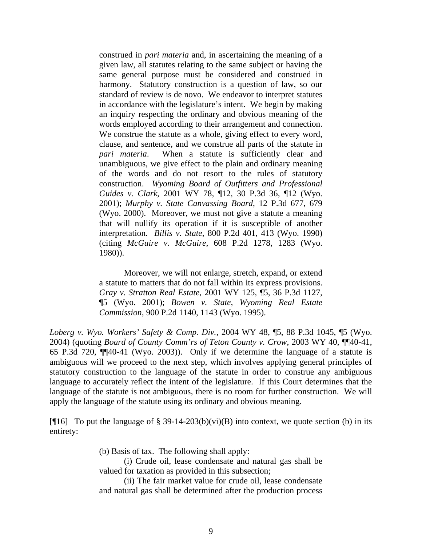construed in *pari materia* and, in ascertaining the meaning of a given law, all statutes relating to the same subject or having the same general purpose must be considered and construed in harmony. Statutory construction is a question of law, so our standard of review is de novo. We endeavor to interpret statutes in accordance with the legislature's intent. We begin by making an inquiry respecting the ordinary and obvious meaning of the words employed according to their arrangement and connection. We construe the statute as a whole, giving effect to every word, clause, and sentence, and we construe all parts of the statute in *pari materia*. When a statute is sufficiently clear and unambiguous, we give effect to the plain and ordinary meaning of the words and do not resort to the rules of statutory construction. *Wyoming Board of Outfitters and Professional Guides v. Clark*, 2001 WY 78, ¶12, 30 P.3d 36, ¶12 (Wyo. 2001); *Murphy v. State Canvassing Board*, 12 P.3d 677, 679 (Wyo. 2000). Moreover, we must not give a statute a meaning that will nullify its operation if it is susceptible of another interpretation. *Billis v. State*, 800 P.2d 401, 413 (Wyo. 1990) (citing *McGuire v. McGuire*, 608 P.2d 1278, 1283 (Wyo. 1980)).

Moreover, we will not enlarge, stretch, expand, or extend a statute to matters that do not fall within its express provisions. *Gray v. Stratton Real Estate*, 2001 WY 125, ¶5, 36 P.3d 1127, ¶5 (Wyo. 2001); *Bowen v. State, Wyoming Real Estate Commission*, 900 P.2d 1140, 1143 (Wyo. 1995).

*Loberg v. Wyo. Workers' Safety & Comp. Div.*, 2004 WY 48, ¶5, 88 P.3d 1045, ¶5 (Wyo. 2004) (quoting *Board of County Comm'rs of Teton County v. Crow*, 2003 WY 40, ¶¶40-41, 65 P.3d 720, ¶¶40-41 (Wyo. 2003)). Only if we determine the language of a statute is ambiguous will we proceed to the next step, which involves applying general principles of statutory construction to the language of the statute in order to construe any ambiguous language to accurately reflect the intent of the legislature. If this Court determines that the language of the statute is not ambiguous, there is no room for further construction. We will apply the language of the statute using its ordinary and obvious meaning.

[ $\P$ 16] To put the language of § 39-14-203(b)(vi)(B) into context, we quote section (b) in its entirety:

(b) Basis of tax. The following shall apply:

(i) Crude oil, lease condensate and natural gas shall be valued for taxation as provided in this subsection;

(ii) The fair market value for crude oil, lease condensate and natural gas shall be determined after the production process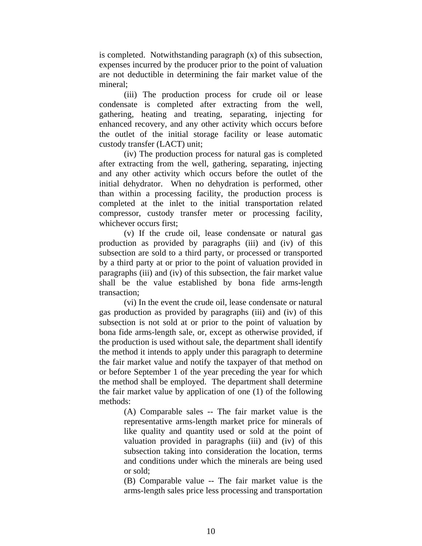is completed. Notwithstanding paragraph (x) of this subsection, expenses incurred by the producer prior to the point of valuation are not deductible in determining the fair market value of the mineral;

(iii) The production process for crude oil or lease condensate is completed after extracting from the well, gathering, heating and treating, separating, injecting for enhanced recovery, and any other activity which occurs before the outlet of the initial storage facility or lease automatic custody transfer (LACT) unit;

(iv) The production process for natural gas is completed after extracting from the well, gathering, separating, injecting and any other activity which occurs before the outlet of the initial dehydrator. When no dehydration is performed, other than within a processing facility, the production process is completed at the inlet to the initial transportation related compressor, custody transfer meter or processing facility, whichever occurs first;

(v) If the crude oil, lease condensate or natural gas production as provided by paragraphs (iii) and (iv) of this subsection are sold to a third party, or processed or transported by a third party at or prior to the point of valuation provided in paragraphs (iii) and (iv) of this subsection, the fair market value shall be the value established by bona fide arms-length transaction;

(vi) In the event the crude oil, lease condensate or natural gas production as provided by paragraphs (iii) and (iv) of this subsection is not sold at or prior to the point of valuation by bona fide arms-length sale, or, except as otherwise provided, if the production is used without sale, the department shall identify the method it intends to apply under this paragraph to determine the fair market value and notify the taxpayer of that method on or before September 1 of the year preceding the year for which the method shall be employed. The department shall determine the fair market value by application of one (1) of the following methods:

> (A) Comparable sales -- The fair market value is the representative arms-length market price for minerals of like quality and quantity used or sold at the point of valuation provided in paragraphs (iii) and (iv) of this subsection taking into consideration the location, terms and conditions under which the minerals are being used or sold;

> (B) Comparable value -- The fair market value is the arms-length sales price less processing and transportation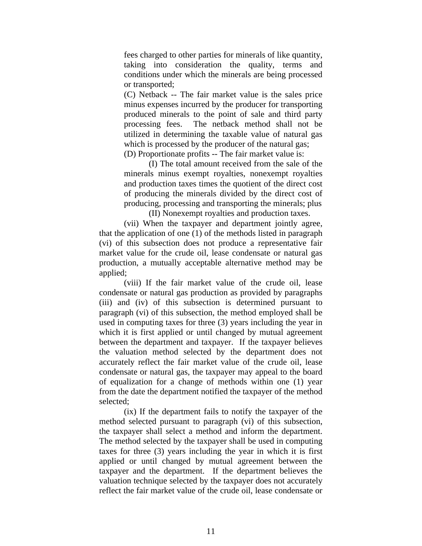fees charged to other parties for minerals of like quantity, taking into consideration the quality, terms and conditions under which the minerals are being processed or transported;

(C) Netback -- The fair market value is the sales price minus expenses incurred by the producer for transporting produced minerals to the point of sale and third party processing fees. The netback method shall not be utilized in determining the taxable value of natural gas which is processed by the producer of the natural gas; (D) Proportionate profits -- The fair market value is:

(I) The total amount received from the sale of the minerals minus exempt royalties, nonexempt royalties and production taxes times the quotient of the direct cost of producing the minerals divided by the direct cost of producing, processing and transporting the minerals; plus

(II) Nonexempt royalties and production taxes. (vii) When the taxpayer and department jointly agree,

that the application of one (1) of the methods listed in paragraph (vi) of this subsection does not produce a representative fair market value for the crude oil, lease condensate or natural gas production, a mutually acceptable alternative method may be applied;

(viii) If the fair market value of the crude oil, lease condensate or natural gas production as provided by paragraphs (iii) and (iv) of this subsection is determined pursuant to paragraph (vi) of this subsection, the method employed shall be used in computing taxes for three (3) years including the year in which it is first applied or until changed by mutual agreement between the department and taxpayer. If the taxpayer believes the valuation method selected by the department does not accurately reflect the fair market value of the crude oil, lease condensate or natural gas, the taxpayer may appeal to the board of equalization for a change of methods within one (1) year from the date the department notified the taxpayer of the method selected;

(ix) If the department fails to notify the taxpayer of the method selected pursuant to paragraph (vi) of this subsection, the taxpayer shall select a method and inform the department. The method selected by the taxpayer shall be used in computing taxes for three (3) years including the year in which it is first applied or until changed by mutual agreement between the taxpayer and the department. If the department believes the valuation technique selected by the taxpayer does not accurately reflect the fair market value of the crude oil, lease condensate or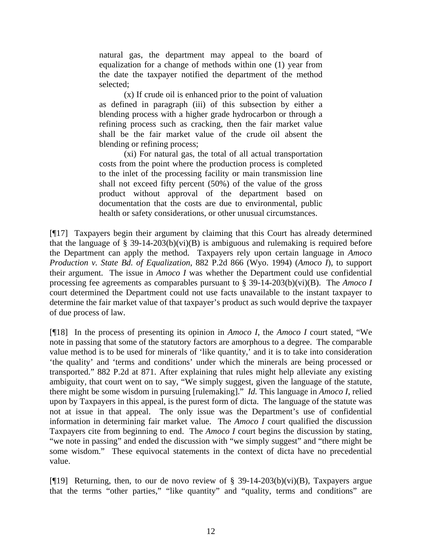natural gas, the department may appeal to the board of equalization for a change of methods within one (1) year from the date the taxpayer notified the department of the method selected;

(x) If crude oil is enhanced prior to the point of valuation as defined in paragraph (iii) of this subsection by either a blending process with a higher grade hydrocarbon or through a refining process such as cracking, then the fair market value shall be the fair market value of the crude oil absent the blending or refining process;

(xi) For natural gas, the total of all actual transportation costs from the point where the production process is completed to the inlet of the processing facility or main transmission line shall not exceed fifty percent (50%) of the value of the gross product without approval of the department based on documentation that the costs are due to environmental, public health or safety considerations, or other unusual circumstances.

[¶17] Taxpayers begin their argument by claiming that this Court has already determined that the language of § 39-14-203(b)(vi)(B) is ambiguous and rulemaking is required before the Department can apply the method. Taxpayers rely upon certain language in *Amoco Production v. State Bd. of Equalization*, 882 P.2d 866 (Wyo. 1994) (*Amoco I*), to support their argument. The issue in *Amoco I* was whether the Department could use confidential processing fee agreements as comparables pursuant to § 39-14-203(b)(vi)(B). The *Amoco I* court determined the Department could not use facts unavailable to the instant taxpayer to determine the fair market value of that taxpayer's product as such would deprive the taxpayer of due process of law.

[¶18] In the process of presenting its opinion in *Amoco I*, the *Amoco I* court stated, "We note in passing that some of the statutory factors are amorphous to a degree. The comparable value method is to be used for minerals of 'like quantity,' and it is to take into consideration 'the quality' and 'terms and conditions' under which the minerals are being processed or transported." 882 P.2d at 871. After explaining that rules might help alleviate any existing ambiguity, that court went on to say, "We simply suggest, given the language of the statute, there might be some wisdom in pursuing [rulemaking]." *Id.* This language in *Amoco I*, relied upon by Taxpayers in this appeal, is the purest form of dicta. The language of the statute was not at issue in that appeal. The only issue was the Department's use of confidential information in determining fair market value. The *Amoco I* court qualified the discussion Taxpayers cite from beginning to end. The *Amoco I* court begins the discussion by stating, "we note in passing" and ended the discussion with "we simply suggest" and "there might be some wisdom." These equivocal statements in the context of dicta have no precedential value.

[ $[19]$ ] Returning, then, to our de novo review of § 39-14-203(b)(vi)(B), Taxpayers argue that the terms "other parties," "like quantity" and "quality, terms and conditions" are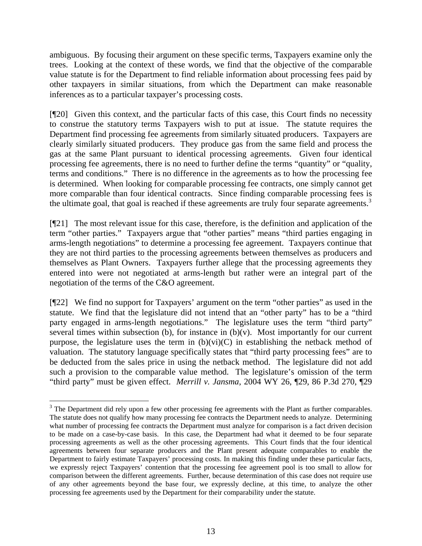ambiguous. By focusing their argument on these specific terms, Taxpayers examine only the trees. Looking at the context of these words, we find that the objective of the comparable value statute is for the Department to find reliable information about processing fees paid by other taxpayers in similar situations, from which the Department can make reasonable inferences as to a particular taxpayer's processing costs.

[¶20] Given this context, and the particular facts of this case, this Court finds no necessity to construe the statutory terms Taxpayers wish to put at issue. The statute requires the Department find processing fee agreements from similarly situated producers. Taxpayers are clearly similarly situated producers. They produce gas from the same field and process the gas at the same Plant pursuant to identical processing agreements. Given four identical processing fee agreements, there is no need to further define the terms "quantity" or "quality, terms and conditions." There is no difference in the agreements as to how the processing fee is determined. When looking for comparable processing fee contracts, one simply cannot get more comparable than four identical contracts. Since finding comparable processing fees is the ultimate goal, that goal is reached if these agreements are truly four separate agreements.<sup>[3](#page-14-0)</sup>

[¶21] The most relevant issue for this case, therefore, is the definition and application of the term "other parties." Taxpayers argue that "other parties" means "third parties engaging in arms-length negotiations" to determine a processing fee agreement. Taxpayers continue that they are not third parties to the processing agreements between themselves as producers and themselves as Plant Owners. Taxpayers further allege that the processing agreements they entered into were not negotiated at arms-length but rather were an integral part of the negotiation of the terms of the C&O agreement.

[¶22] We find no support for Taxpayers' argument on the term "other parties" as used in the statute. We find that the legislature did not intend that an "other party" has to be a "third party engaged in arms-length negotiations." The legislature uses the term "third party" several times within subsection (b), for instance in  $(b)(v)$ . Most importantly for our current purpose, the legislature uses the term in  $(b)(vi)(C)$  in establishing the netback method of valuation. The statutory language specifically states that "third party processing fees" are to be deducted from the sales price in using the netback method. The legislature did not add such a provision to the comparable value method. The legislature's omission of the term "third party" must be given effect. *Merrill v. Jansma*, 2004 WY 26, ¶29, 86 P.3d 270, ¶29

<span id="page-14-0"></span> $3$  The Department did rely upon a few other processing fee agreements with the Plant as further comparables. The statute does not qualify how many processing fee contracts the Department needs to analyze. Determining what number of processing fee contracts the Department must analyze for comparison is a fact driven decision to be made on a case-by-case basis. In this case, the Department had what it deemed to be four separate processing agreements as well as the other processing agreements. This Court finds that the four identical agreements between four separate producers and the Plant present adequate comparables to enable the Department to fairly estimate Taxpayers' processing costs. In making this finding under these particular facts, we expressly reject Taxpayers' contention that the processing fee agreement pool is too small to allow for comparison between the different agreements. Further, because determination of this case does not require use of any other agreements beyond the base four, we expressly decline, at this time, to analyze the other processing fee agreements used by the Department for their comparability under the statute.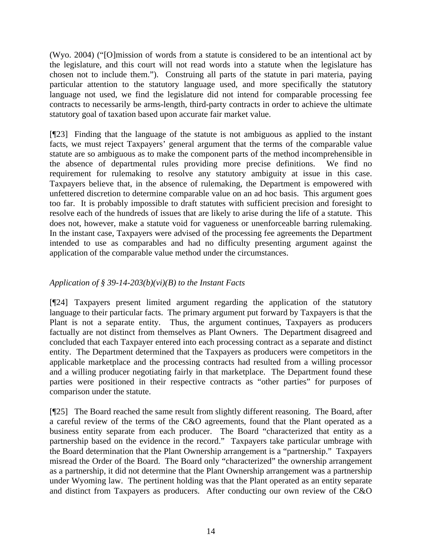(Wyo. 2004) ("[O]mission of words from a statute is considered to be an intentional act by the legislature, and this court will not read words into a statute when the legislature has chosen not to include them."). Construing all parts of the statute in pari materia, paying particular attention to the statutory language used, and more specifically the statutory language not used, we find the legislature did not intend for comparable processing fee contracts to necessarily be arms-length, third-party contracts in order to achieve the ultimate statutory goal of taxation based upon accurate fair market value.

[¶23] Finding that the language of the statute is not ambiguous as applied to the instant facts, we must reject Taxpayers' general argument that the terms of the comparable value statute are so ambiguous as to make the component parts of the method incomprehensible in the absence of departmental rules providing more precise definitions. We find no requirement for rulemaking to resolve any statutory ambiguity at issue in this case. Taxpayers believe that, in the absence of rulemaking, the Department is empowered with unfettered discretion to determine comparable value on an ad hoc basis. This argument goes too far. It is probably impossible to draft statutes with sufficient precision and foresight to resolve each of the hundreds of issues that are likely to arise during the life of a statute. This does not, however, make a statute void for vagueness or unenforceable barring rulemaking. In the instant case, Taxpayers were advised of the processing fee agreements the Department intended to use as comparables and had no difficulty presenting argument against the application of the comparable value method under the circumstances.

# *Application of § 39-14-203(b)(vi)(B) to the Instant Facts*

[¶24] Taxpayers present limited argument regarding the application of the statutory language to their particular facts. The primary argument put forward by Taxpayers is that the Plant is not a separate entity. Thus, the argument continues, Taxpayers as producers factually are not distinct from themselves as Plant Owners. The Department disagreed and concluded that each Taxpayer entered into each processing contract as a separate and distinct entity. The Department determined that the Taxpayers as producers were competitors in the applicable marketplace and the processing contracts had resulted from a willing processor and a willing producer negotiating fairly in that marketplace. The Department found these parties were positioned in their respective contracts as "other parties" for purposes of comparison under the statute.

[¶25] The Board reached the same result from slightly different reasoning. The Board, after a careful review of the terms of the C&O agreements, found that the Plant operated as a business entity separate from each producer. The Board "characterized that entity as a partnership based on the evidence in the record." Taxpayers take particular umbrage with the Board determination that the Plant Ownership arrangement is a "partnership." Taxpayers misread the Order of the Board. The Board only "characterized" the ownership arrangement as a partnership, it did not determine that the Plant Ownership arrangement was a partnership under Wyoming law. The pertinent holding was that the Plant operated as an entity separate and distinct from Taxpayers as producers. After conducting our own review of the C&O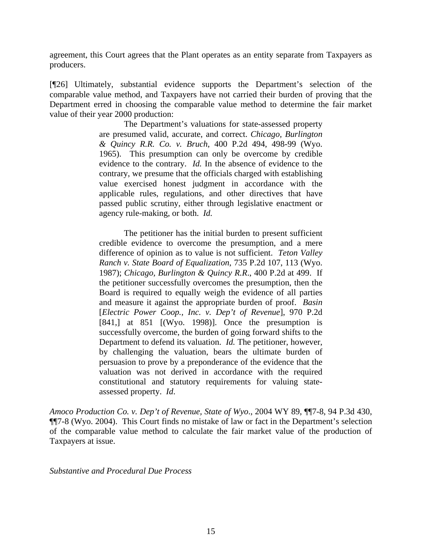agreement, this Court agrees that the Plant operates as an entity separate from Taxpayers as producers.

[¶26] Ultimately, substantial evidence supports the Department's selection of the comparable value method, and Taxpayers have not carried their burden of proving that the Department erred in choosing the comparable value method to determine the fair market value of their year 2000 production:

> The Department's valuations for state-assessed property are presumed valid, accurate, and correct. *Chicago, Burlington & Quincy R.R. Co. v. Bruch*, 400 P.2d 494, 498-99 (Wyo. 1965). This presumption can only be overcome by credible evidence to the contrary. *Id.* In the absence of evidence to the contrary, we presume that the officials charged with establishing value exercised honest judgment in accordance with the applicable rules, regulations, and other directives that have passed public scrutiny, either through legislative enactment or agency rule-making, or both. *Id.*

> The petitioner has the initial burden to present sufficient credible evidence to overcome the presumption, and a mere difference of opinion as to value is not sufficient. *Teton Valley Ranch v. State Board of Equalization*, 735 P.2d 107, 113 (Wyo. 1987); *Chicago, Burlington & Quincy R.R*., 400 P.2d at 499. If the petitioner successfully overcomes the presumption, then the Board is required to equally weigh the evidence of all parties and measure it against the appropriate burden of proof. *Basin*  [*Electric Power Coop., Inc. v. Dep't of Revenue*], 970 P.2d [841,] at  $851$  [(Wyo. 1998)]. Once the presumption is successfully overcome, the burden of going forward shifts to the Department to defend its valuation. *Id.* The petitioner, however, by challenging the valuation, bears the ultimate burden of persuasion to prove by a preponderance of the evidence that the valuation was not derived in accordance with the required constitutional and statutory requirements for valuing stateassessed property. *Id*.

*Amoco Production Co. v. Dep't of Revenue, State of Wyo*., 2004 WY 89, ¶¶7-8, 94 P.3d 430, ¶¶7-8 (Wyo. 2004). This Court finds no mistake of law or fact in the Department's selection of the comparable value method to calculate the fair market value of the production of Taxpayers at issue.

*Substantive and Procedural Due Process*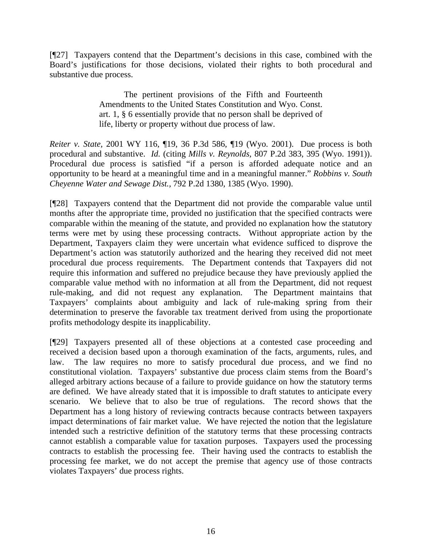[¶27] Taxpayers contend that the Department's decisions in this case, combined with the Board's justifications for those decisions, violated their rights to both procedural and substantive due process.

> The pertinent provisions of the Fifth and Fourteenth Amendments to the United States Constitution and Wyo. Const. art. 1, § 6 essentially provide that no person shall be deprived of life, liberty or property without due process of law.

*Reiter v. State,* 2001 WY 116, ¶19, 36 P.3d 586, ¶19 (Wyo. 2001). Due process is both procedural and substantive. *Id.* (citing *Mills v. Reynolds,* 807 P.2d 383, 395 (Wyo. 1991)). Procedural due process is satisfied "if a person is afforded adequate notice and an opportunity to be heard at a meaningful time and in a meaningful manner." *Robbins v. South Cheyenne Water and Sewage Dist.,* 792 P.2d 1380, 1385 (Wyo. 1990).

[¶28] Taxpayers contend that the Department did not provide the comparable value until months after the appropriate time, provided no justification that the specified contracts were comparable within the meaning of the statute, and provided no explanation how the statutory terms were met by using these processing contracts. Without appropriate action by the Department, Taxpayers claim they were uncertain what evidence sufficed to disprove the Department's action was statutorily authorized and the hearing they received did not meet procedural due process requirements. The Department contends that Taxpayers did not require this information and suffered no prejudice because they have previously applied the comparable value method with no information at all from the Department, did not request rule-making, and did not request any explanation. The Department maintains that Taxpayers' complaints about ambiguity and lack of rule-making spring from their determination to preserve the favorable tax treatment derived from using the proportionate profits methodology despite its inapplicability.

[¶29] Taxpayers presented all of these objections at a contested case proceeding and received a decision based upon a thorough examination of the facts, arguments, rules, and law. The law requires no more to satisfy procedural due process, and we find no constitutional violation. Taxpayers' substantive due process claim stems from the Board's alleged arbitrary actions because of a failure to provide guidance on how the statutory terms are defined. We have already stated that it is impossible to draft statutes to anticipate every scenario. We believe that to also be true of regulations. The record shows that the Department has a long history of reviewing contracts because contracts between taxpayers impact determinations of fair market value. We have rejected the notion that the legislature intended such a restrictive definition of the statutory terms that these processing contracts cannot establish a comparable value for taxation purposes. Taxpayers used the processing contracts to establish the processing fee. Their having used the contracts to establish the processing fee market, we do not accept the premise that agency use of those contracts violates Taxpayers' due process rights.